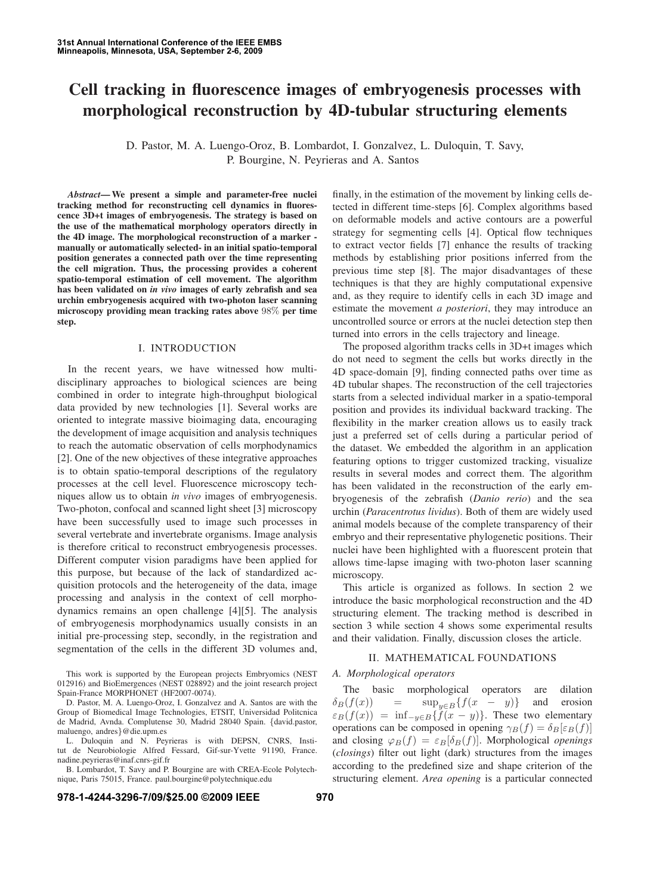# Cell tracking in fluorescence images of embryogenesis processes with morphological reconstruction by 4D-tubular structuring elements

D. Pastor, M. A. Luengo-Oroz, B. Lombardot, I. Gonzalvez, L. Duloquin, T. Savy, P. Bourgine, N. Peyrieras and A. Santos

*Abstract*— We present a simple and parameter-free nuclei tracking method for reconstructing cell dynamics in fluorescence 3D+t images of embryogenesis. The strategy is based on the use of the mathematical morphology operators directly in the 4D image. The morphological reconstruction of a marker manually or automatically selected- in an initial spatio-temporal position generates a connected path over the time representing the cell migration. Thus, the processing provides a coherent spatio-temporal estimation of cell movement. The algorithm has been validated on *in vivo* images of early zebrafish and sea urchin embryogenesis acquired with two-photon laser scanning microscopy providing mean tracking rates above 98% per time step.

## I. INTRODUCTION

In the recent years, we have witnessed how multidisciplinary approaches to biological sciences are being combined in order to integrate high-throughput biological data provided by new technologies [1]. Several works are oriented to integrate massive bioimaging data, encouraging the development of image acquisition and analysis techniques to reach the automatic observation of cells morphodynamics [2]. One of the new objectives of these integrative approaches is to obtain spatio-temporal descriptions of the regulatory processes at the cell level. Fluorescence microscopy techniques allow us to obtain *in vivo* images of embryogenesis. Two-photon, confocal and scanned light sheet [3] microscopy have been successfully used to image such processes in several vertebrate and invertebrate organisms. Image analysis is therefore critical to reconstruct embryogenesis processes. Different computer vision paradigms have been applied for this purpose, but because of the lack of standardized acquisition protocols and the heterogeneity of the data, image processing and analysis in the context of cell morphodynamics remains an open challenge [4][5]. The analysis of embryogenesis morphodynamics usually consists in an initial pre-processing step, secondly, in the registration and segmentation of the cells in the different 3D volumes and,

This work is supported by the European projects Embryomics (NEST 012916) and BioEmergences (NEST 028892) and the joint research project Spain-France MORPHONET (HF2007-0074).

L. Duloquin and N. Peyrieras is with DEPSN, CNRS, Institut de Neurobiologie Alfred Fessard, Gif-sur-Yvette 91190, France. nadine.peyrieras@inaf.cnrs-gif.fr

B. Lombardot, T. Savy and P. Bourgine are with CREA-Ecole Polytechnique, Paris 75015, France. paul.bourgine@polytechnique.edu

finally, in the estimation of the movement by linking cells detected in different time-steps [6]. Complex algorithms based on deformable models and active contours are a powerful strategy for segmenting cells [4]. Optical flow techniques to extract vector fields [7] enhance the results of tracking methods by establishing prior positions inferred from the previous time step [8]. The major disadvantages of these techniques is that they are highly computational expensive and, as they require to identify cells in each 3D image and estimate the movement *a posteriori*, they may introduce an uncontrolled source or errors at the nuclei detection step then turned into errors in the cells trajectory and lineage.

The proposed algorithm tracks cells in 3D+t images which do not need to segment the cells but works directly in the 4D space-domain [9], finding connected paths over time as 4D tubular shapes. The reconstruction of the cell trajectories starts from a selected individual marker in a spatio-temporal position and provides its individual backward tracking. The flexibility in the marker creation allows us to easily track just a preferred set of cells during a particular period of the dataset. We embedded the algorithm in an application featuring options to trigger customized tracking, visualize results in several modes and correct them. The algorithm has been validated in the reconstruction of the early embryogenesis of the zebrafish (*Danio rerio*) and the sea urchin (*Paracentrotus lividus*). Both of them are widely used animal models because of the complete transparency of their embryo and their representative phylogenetic positions. Their nuclei have been highlighted with a fluorescent protein that allows time-lapse imaging with two-photon laser scanning microscopy.

This article is organized as follows. In section 2 we introduce the basic morphological reconstruction and the 4D structuring element. The tracking method is described in section 3 while section 4 shows some experimental results and their validation. Finally, discussion closes the article.

## II. MATHEMATICAL FOUNDATIONS

## *A. Morphological operators*

The basic morphological operators are dilation  $\delta_B(f(x))$  = sup<sub>u∈B</sub>{ $f(x - y)$ } and erosion  $\varepsilon_B(f(x)) = \inf_{-y \in B} \{f(x - y)\}.$  These two elementary operations can be composed in opening  $\gamma_B(f) = \delta_B[\varepsilon_B(f)]$ and closing  $\varphi_B(f) = \varepsilon_B[\delta_B(f)]$ . Morphological *openings* (*closings*) filter out light (dark) structures from the images according to the predefined size and shape criterion of the structuring element. *Area opening* is a particular connected

D. Pastor, M. A. Luengo-Oroz, I. Gonzalvez and A. Santos are with the Group of Biomedical Image Technologies, ETSIT, Universidad Politcnica de Madrid, Avnda. Complutense 30, Madrid 28040 Spain. {david.pastor, maluengo, andres}@die.upm.es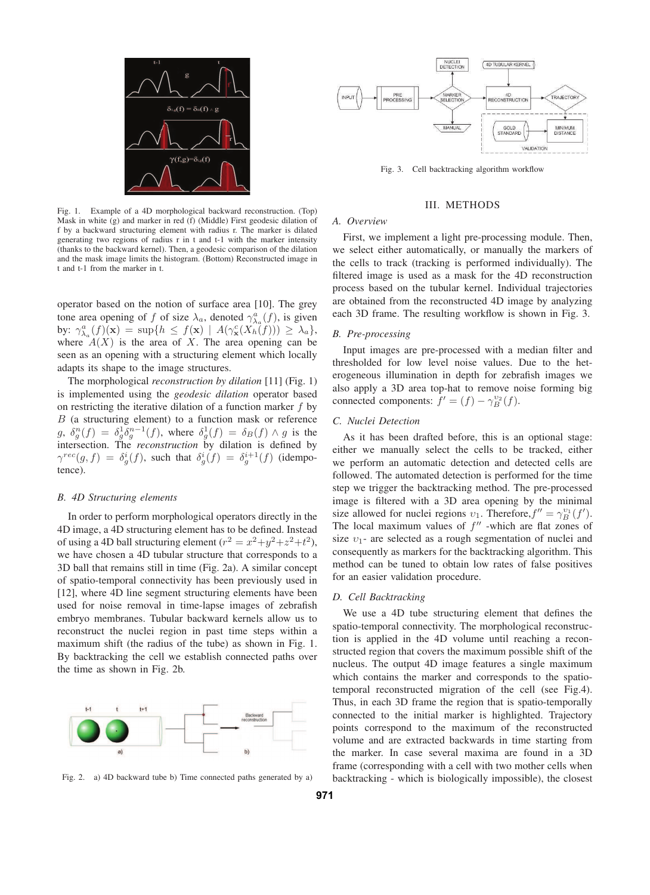

Fig. 1. Example of a 4D morphological backward reconstruction. (Top) Mask in white (g) and marker in red (f) (Middle) First geodesic dilation of f by a backward structuring element with radius r. The marker is dilated generating two regions of radius r in t and t-1 with the marker intensity (thanks to the backward kernel). Then, a geodesic comparison of the dilation and the mask image limits the histogram. (Bottom) Reconstructed image in t and t-1 from the marker in t.

operator based on the notion of surface area [10]. The grey tone area opening of f of size  $\lambda_a$ , denoted  $\gamma_{\lambda_a}^a(f)$ , is given by:  $\gamma_{\lambda_a}^a(f)(\mathbf{x}) = \sup\{h \leq f(\mathbf{x}) \mid A(\gamma_{\mathbf{x}}^c(X_h(f))) \geq \lambda_a\},\$ where  $A(X)$  is the area of X. The area opening can be seen as an opening with a structuring element which locally adapts its shape to the image structures.

The morphological *reconstruction by dilation* [11] (Fig. 1) is implemented using the *geodesic dilation* operator based on restricting the iterative dilation of a function marker  $f$  by B (a structuring element) to a function mask or reference  $g, \delta_g^n(f) = \delta_g^1 \delta_g^{n-1}(f)$ , where  $\delta_g^1(f) = \delta_B(f) \wedge g$  is the intersection. The *reconstruction* by dilation is defined by  $\gamma^{rec}(g, f) = \delta^i_g(f)$ , such that  $\delta^i_g(f) = \delta^{i+1}_g(f)$  (idempotence).

### *B. 4D Structuring elements*

In order to perform morphological operators directly in the 4D image, a 4D structuring element has to be defined. Instead of using a 4D ball structuring element ( $r^2 = x^2+y^2+z^2+t^2$ ), we have chosen a 4D tubular structure that corresponds to a 3D ball that remains still in time (Fig. 2a). A similar concept of spatio-temporal connectivity has been previously used in [12], where 4D line segment structuring elements have been used for noise removal in time-lapse images of zebrafish embryo membranes. Tubular backward kernels allow us to reconstruct the nuclei region in past time steps within a maximum shift (the radius of the tube) as shown in Fig. 1. By backtracking the cell we establish connected paths over the time as shown in Fig. 2b.



Fig. 2. a) 4D backward tube b) Time connected paths generated by a)

Fig. 3. Cell backtracking algorithm workflow

# III. METHODS

# *A. Overview*

First, we implement a light pre-processing module. Then, we select either automatically, or manually the markers of the cells to track (tracking is performed individually). The filtered image is used as a mask for the 4D reconstruction process based on the tubular kernel. Individual trajectories are obtained from the reconstructed 4D image by analyzing each 3D frame. The resulting workflow is shown in Fig. 3.

# *B. Pre-processing*

Input images are pre-processed with a median filter and thresholded for low level noise values. Due to the heterogeneous illumination in depth for zebrafish images we also apply a 3D area top-hat to remove noise forming big connected components:  $f' = (f) - \gamma_B^{v_2}(f)$ .

# *C. Nuclei Detection*

As it has been drafted before, this is an optional stage: either we manually select the cells to be tracked, either we perform an automatic detection and detected cells are followed. The automated detection is performed for the time step we trigger the backtracking method. The pre-processed image is filtered with a 3D area opening by the minimal size allowed for nuclei regions  $v_1$ . Therefore,  $f'' = \gamma_B^{v_1}(f')$ . The local maximum values of  $f''$  -which are flat zones of size  $v_1$ - are selected as a rough segmentation of nuclei and consequently as markers for the backtracking algorithm. This method can be tuned to obtain low rates of false positives for an easier validation procedure.

# *D. Cell Backtracking*

We use a 4D tube structuring element that defines the spatio-temporal connectivity. The morphological reconstruction is applied in the 4D volume until reaching a reconstructed region that covers the maximum possible shift of the nucleus. The output 4D image features a single maximum which contains the marker and corresponds to the spatiotemporal reconstructed migration of the cell (see Fig.4). Thus, in each 3D frame the region that is spatio-temporally connected to the initial marker is highlighted. Trajectory points correspond to the maximum of the reconstructed volume and are extracted backwards in time starting from the marker. In case several maxima are found in a 3D frame (corresponding with a cell with two mother cells when backtracking - which is biologically impossible), the closest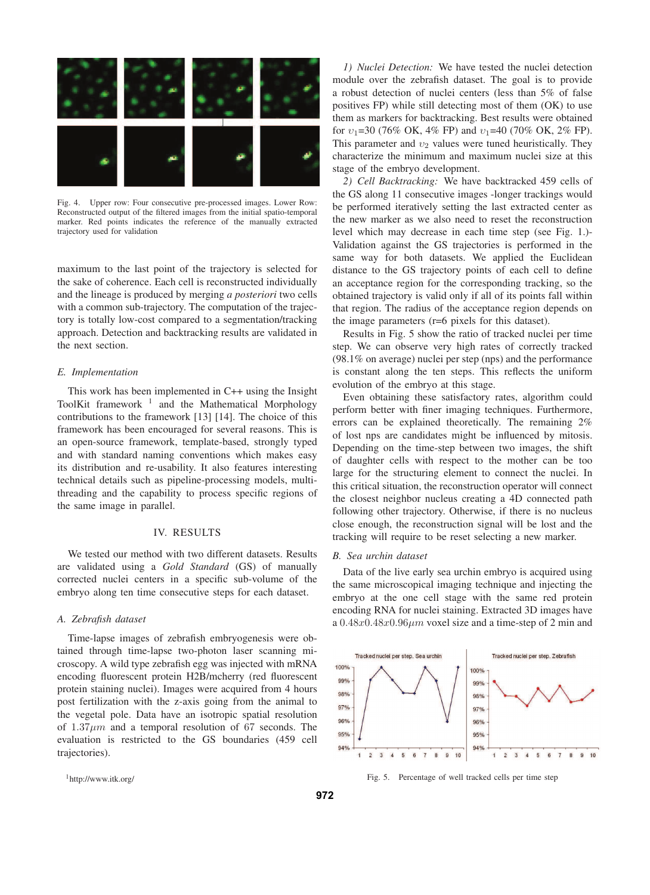

Fig. 4. Upper row: Four consecutive pre-processed images. Lower Row: Reconstructed output of the filtered images from the initial spatio-temporal marker. Red points indicates the reference of the manually extracted trajectory used for validation

maximum to the last point of the trajectory is selected for the sake of coherence. Each cell is reconstructed individually and the lineage is produced by merging *a posteriori* two cells with a common sub-trajectory. The computation of the trajectory is totally low-cost compared to a segmentation/tracking approach. Detection and backtracking results are validated in the next section.

# *E. Implementation*

This work has been implemented in C++ using the Insight ToolKit framework<sup>1</sup> and the Mathematical Morphology contributions to the framework [13] [14]. The choice of this framework has been encouraged for several reasons. This is an open-source framework, template-based, strongly typed and with standard naming conventions which makes easy its distribution and re-usability. It also features interesting technical details such as pipeline-processing models, multithreading and the capability to process specific regions of the same image in parallel.

# IV. RESULTS

We tested our method with two different datasets. Results are validated using a *Gold Standard* (GS) of manually corrected nuclei centers in a specific sub-volume of the embryo along ten time consecutive steps for each dataset.

# *A. Zebrafish dataset*

Time-lapse images of zebrafish embryogenesis were obtained through time-lapse two-photon laser scanning microscopy. A wild type zebrafish egg was injected with mRNA encoding fluorescent protein H2B/mcherry (red fluorescent protein staining nuclei). Images were acquired from 4 hours post fertilization with the z-axis going from the animal to the vegetal pole. Data have an isotropic spatial resolution of  $1.37 \mu m$  and a temporal resolution of 67 seconds. The evaluation is restricted to the GS boundaries (459 cell trajectories).

*1) Nuclei Detection:* We have tested the nuclei detection module over the zebrafish dataset. The goal is to provide a robust detection of nuclei centers (less than 5% of false positives FP) while still detecting most of them (OK) to use them as markers for backtracking. Best results were obtained for  $v_1$ =30 (76% OK, 4% FP) and  $v_1$ =40 (70% OK, 2% FP). This parameter and  $v_2$  values were tuned heuristically. They characterize the minimum and maximum nuclei size at this stage of the embryo development.

*2) Cell Backtracking:* We have backtracked 459 cells of the GS along 11 consecutive images -longer trackings would be performed iteratively setting the last extracted center as the new marker as we also need to reset the reconstruction level which may decrease in each time step (see Fig. 1.)- Validation against the GS trajectories is performed in the same way for both datasets. We applied the Euclidean distance to the GS trajectory points of each cell to define an acceptance region for the corresponding tracking, so the obtained trajectory is valid only if all of its points fall within that region. The radius of the acceptance region depends on the image parameters (r=6 pixels for this dataset).

Results in Fig. 5 show the ratio of tracked nuclei per time step. We can observe very high rates of correctly tracked (98.1% on average) nuclei per step (nps) and the performance is constant along the ten steps. This reflects the uniform evolution of the embryo at this stage.

Even obtaining these satisfactory rates, algorithm could perform better with finer imaging techniques. Furthermore, errors can be explained theoretically. The remaining 2% of lost nps are candidates might be influenced by mitosis. Depending on the time-step between two images, the shift of daughter cells with respect to the mother can be too large for the structuring element to connect the nuclei. In this critical situation, the reconstruction operator will connect the closest neighbor nucleus creating a 4D connected path following other trajectory. Otherwise, if there is no nucleus close enough, the reconstruction signal will be lost and the tracking will require to be reset selecting a new marker.

# *B. Sea urchin dataset*

Data of the live early sea urchin embryo is acquired using the same microscopical imaging technique and injecting the embryo at the one cell stage with the same red protein encoding RNA for nuclei staining. Extracted 3D images have a  $0.48x0.48x0.96\mu m$  voxel size and a time-step of 2 min and



Fig. 5. Percentage of well tracked cells per time step